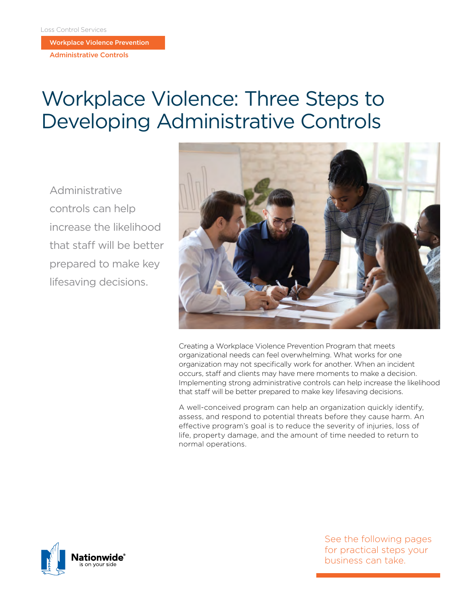Workplace Violence Prevention

Administrative Controls

# Workplace Violence: Three Steps to Developing Administrative Controls

Administrative controls can help increase the likelihood that staff will be better prepared to make key lifesaving decisions.



Creating a Workplace Violence Prevention Program that meets organizational needs can feel overwhelming. What works for one organization may not specifically work for another. When an incident occurs, staff and clients may have mere moments to make a decision. Implementing strong administrative controls can help increase the likelihood that staff will be better prepared to make key lifesaving decisions.

A well-conceived program can help an organization quickly identify, assess, and respond to potential threats before they cause harm. An effective program's goal is to reduce the severity of injuries, loss of life, property damage, and the amount of time needed to return to normal operations.



See the following pages for practical steps your business can take.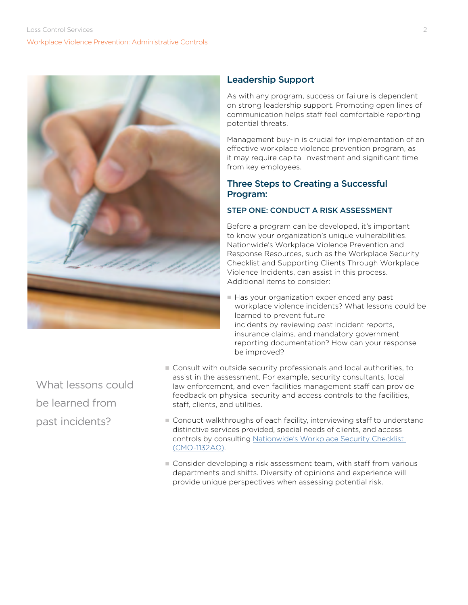

# Leadership Support

As with any program, success or failure is dependent on strong leadership support. Promoting open lines of communication helps staff feel comfortable reporting potential threats.

Management buy-in is crucial for implementation of an effective workplace violence prevention program, as it may require capital investment and significant time from key employees.

# Three Steps to Creating a Successful Program:

# STEP ONE: CONDUCT A RISK ASSESSMENT

Before a program can be developed, it's important to know your organization's unique vulnerabilities. Nationwide's Workplace Violence Prevention and Response Resources, such as the Workplace Security Checklist and Supporting Clients Through Workplace Violence Incidents, can assist in this process. Additional items to consider:

Has your organization experienced any past workplace violence incidents? What lessons could be learned to prevent future incidents by reviewing past incident reports, insurance claims, and mandatory government reporting documentation? How can your response be improved?

- What lessons could be learned from past incidents?
- n Consult with outside security professionals and local authorities, to assist in the assessment. For example, security consultants, local law enforcement, and even facilities management staff can provide feedback on physical security and access controls to the facilities, staff, clients, and utilities.
- Conduct walkthroughs of each facility, interviewing staff to understand distinctive services provided, special needs of clients, and access controls by consulting [Nationwide's Workplace Security Checklist](https://www.mylosscontrolservices.com/documents/loss-control-library/workplace-security-checklist)  [\(CMO-1132AO\)](https://www.mylosscontrolservices.com/documents/loss-control-library/workplace-security-checklist).
- n Consider developing a risk assessment team, with staff from various departments and shifts. Diversity of opinions and experience will provide unique perspectives when assessing potential risk.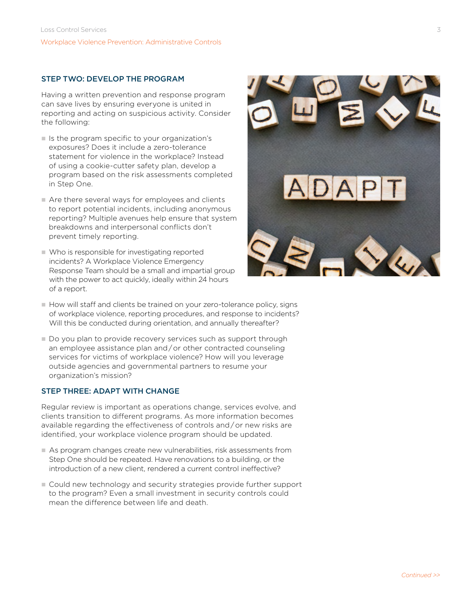#### STEP TWO: DEVELOP THE PROGRAM

Having a written prevention and response program can save lives by ensuring everyone is united in reporting and acting on suspicious activity. Consider the following:

- In Is the program specific to your organization's exposures? Does it include a zero-tolerance statement for violence in the workplace? Instead of using a cookie-cutter safety plan, develop a program based on the risk assessments completed in Step One.
- $\blacksquare$  Are there several ways for employees and clients to report potential incidents, including anonymous reporting? Multiple avenues help ensure that system breakdowns and interpersonal conflicts don't prevent timely reporting.
- $\blacksquare$  Who is responsible for investigating reported incidents? A Workplace Violence Emergency Response Team should be a small and impartial group with the power to act quickly, ideally within 24 hours of a report.



- n How will staff and clients be trained on your zero-tolerance policy, signs of workplace violence, reporting procedures, and response to incidents? Will this be conducted during orientation, and annually thereafter?
- $\blacksquare$  Do you plan to provide recovery services such as support through an employee assistance plan and / or other contracted counseling services for victims of workplace violence? How will you leverage outside agencies and governmental partners to resume your organization's mission?

#### STEP THREE: ADAPT WITH CHANGE

Regular review is important as operations change, services evolve, and clients transition to different programs. As more information becomes available regarding the effectiveness of controls and / or new risks are identified, your workplace violence program should be updated.

- n As program changes create new vulnerabilities, risk assessments from Step One should be repeated. Have renovations to a building, or the introduction of a new client, rendered a current control ineffective?
- n Could new technology and security strategies provide further support to the program? Even a small investment in security controls could mean the difference between life and death.